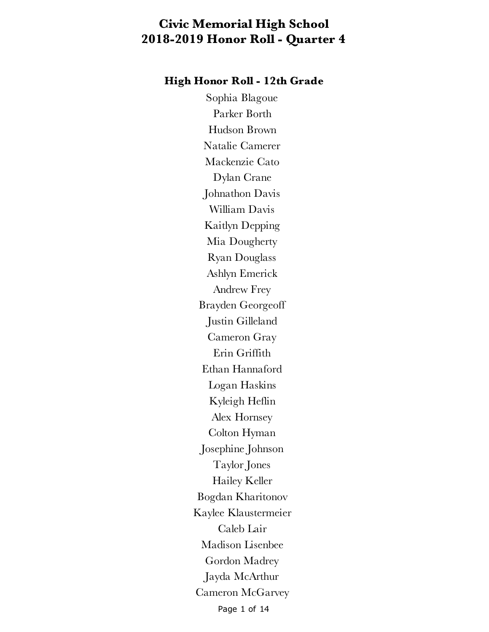#### **High Honor Roll - 12th Grade**

Page 1 of 14 Sophia Blagoue Parker Borth Hudson Brown Natalie Camerer Mackenzie Cato Dylan Crane Johnathon Davis William Davis Kaitlyn Depping Mia Dougherty Ryan Douglass Ashlyn Emerick Andrew Frey Brayden Georgeoff Justin Gilleland Cameron Gray Erin Griffith Ethan Hannaford Logan Haskins Kyleigh Heflin Alex Hornsey Colton Hyman Josephine Johnson Taylor Jones Hailey Keller Bogdan Kharitonov Kaylee Klaustermeier Caleb Lair Madison Lisenbee Gordon Madrey Jayda McArthur Cameron McGarvey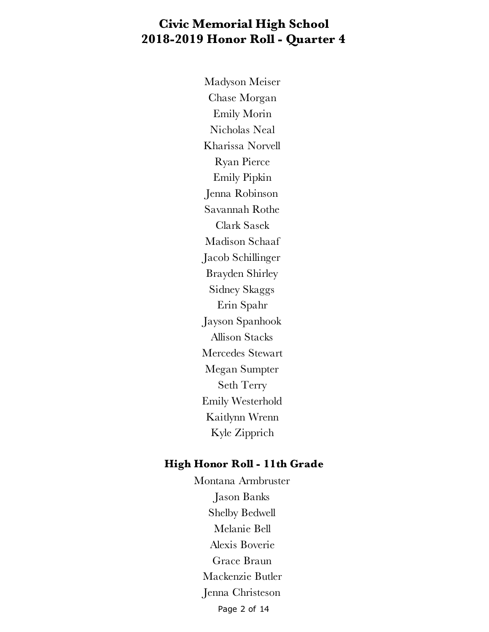Madyson Meiser Chase Morgan Emily Morin Nicholas Neal Kharissa Norvell Ryan Pierce Emily Pipkin Jenna Robinson Savannah Rothe Clark Sasek Madison Schaaf Jacob Schillinger Brayden Shirley Sidney Skaggs Erin Spahr Jayson Spanhook Allison Stacks Mercedes Stewart Megan Sumpter Seth Terry Emily Westerhold Kaitlynn Wrenn Kyle Zipprich

#### **High Honor Roll - 11th Grade**

Page 2 of 14 Montana Armbruster Jason Banks Shelby Bedwell Melanie Bell Alexis Boverie Grace Braun Mackenzie Butler Jenna Christeson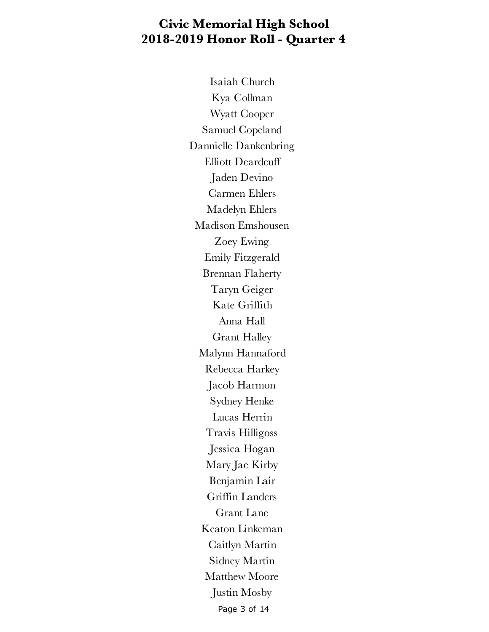Page 3 of 14 Isaiah Church Kya Collman Wyatt Cooper Samuel Copeland Dannielle Dankenbring Elliott Deardeuff Jaden Devino Carmen Ehlers Madelyn Ehlers Madison Emshousen Zoey Ewing Emily Fitzgerald Brennan Flaherty Taryn Geiger Kate Griffith Anna Hall Grant Halley Malynn Hannaford Rebecca Harkey Jacob Harmon Sydney Henke Lucas Herrin Travis Hilligoss Jessica Hogan Mary Jae Kirby Benjamin Lair Griffin Landers Grant Lane Keaton Linkeman Caitlyn Martin Sidney Martin Matthew Moore Justin Mosby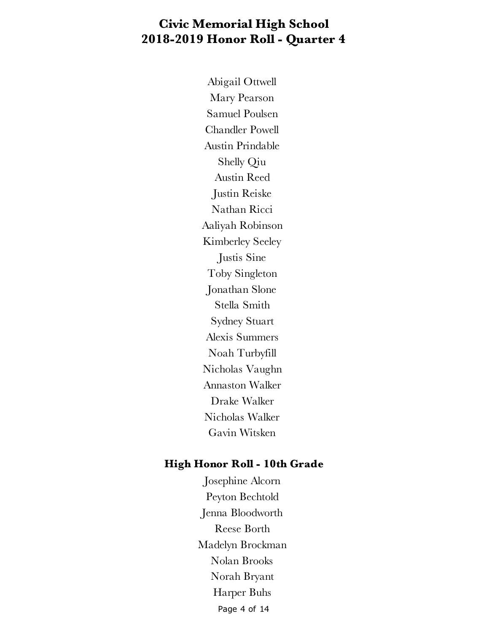Abigail Ottwell Mary Pearson Samuel Poulsen Chandler Powell Austin Prindable Shelly Qiu Austin Reed Justin Reiske Nathan Ricci Aaliyah Robinson Kimberley Seeley Justis Sine Toby Singleton Jonathan Slone Stella Smith Sydney Stuart Alexis Summers Noah Turbyfill Nicholas Vaughn Annaston Walker Drake Walker Nicholas Walker Gavin Witsken

#### **High Honor Roll - 10th Grade**

Page 4 of 14 Josephine Alcorn Peyton Bechtold Jenna Bloodworth Reese Borth Madelyn Brockman Nolan Brooks Norah Bryant Harper Buhs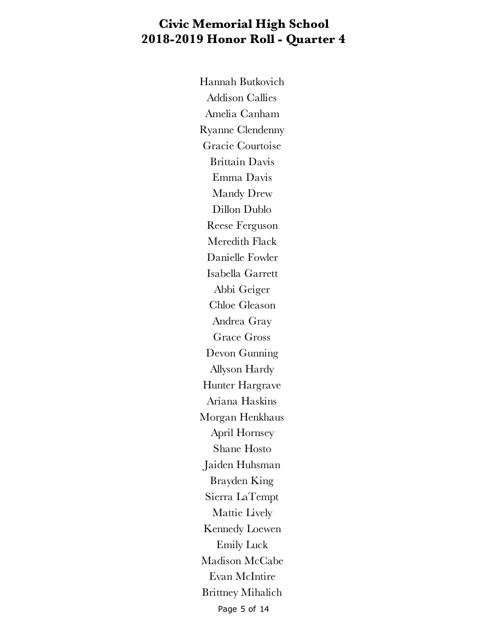Page 5 of 14 Hannah Butkovich Addison Callies Amelia Canham Ryanne Clendenny Gracie Courtoise Brittain Davis Emma Davis Mandy Drew Dillon Dublo Reese Ferguson Meredith Flack Danielle Fowler Isabella Garrett Abbi Geiger Chloe Gleason Andrea Gray Grace Gross Devon Gunning Allyson Hardy Hunter Hargrave Ariana Haskins Morgan Henkhaus April Hornsey Shane Hosto Jaiden Huhsman Brayden King Sierra LaTempt Mattie Lively Kennedy Loewen Emily Luck Madison McCabe Evan McIntire Brittney Mihalich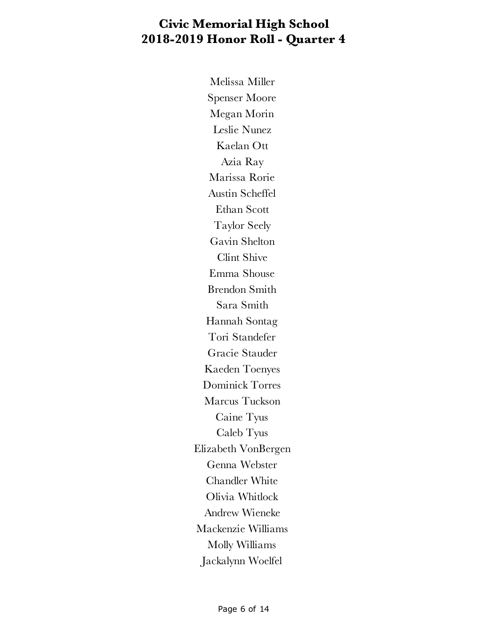Melissa Miller Spenser Moore Megan Morin Leslie Nunez Kaelan Ott Azia Ray Marissa Rorie Austin Scheffel Ethan Scott Taylor Seely Gavin Shelton Clint Shive Emma Shouse Brendon Smith Sara Smith Hannah Sontag Tori Standefer Gracie Stauder Kaeden Toenyes Dominick Torres Marcus Tuckson Caine Tyus Caleb Tyus Elizabeth VonBergen Genna Webster Chandler White Olivia Whitlock Andrew Wieneke Mackenzie Williams Molly Williams Jackalynn Woelfel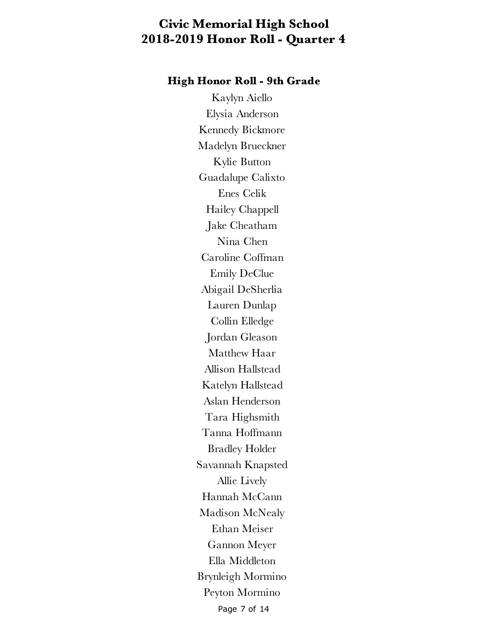#### **High Honor Roll - 9th Grade**

Page 7 of 14 Kaylyn Aiello Elysia Anderson Kennedy Bickmore Madelyn Brueckner Kylie Button Guadalupe Calixto Enes Celik Hailey Chappell Jake Cheatham Nina Chen Caroline Coffman Emily DeClue Abigail DeSherlia Lauren Dunlap Collin Elledge Jordan Gleason Matthew Haar Allison Hallstead Katelyn Hallstead Aslan Henderson Tara Highsmith Tanna Hoffmann Bradley Holder Savannah Knapsted Allie Lively Hannah McCann Madison McNealy Ethan Meiser Gannon Meyer Ella Middleton Brynleigh Mormino Peyton Mormino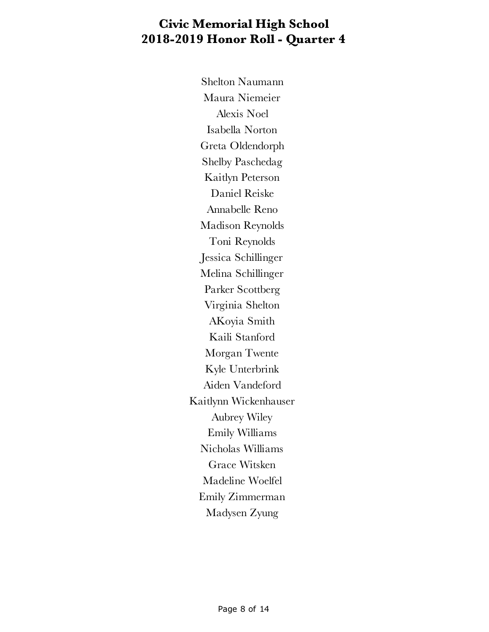Shelton Naumann Maura Niemeier Alexis Noel Isabella Norton Greta Oldendorph Shelby Paschedag Kaitlyn Peterson Daniel Reiske Annabelle Reno Madison Reynolds Toni Reynolds Jessica Schillinger Melina Schillinger Parker Scottberg Virginia Shelton AKoyia Smith Kaili Stanford Morgan Twente Kyle Unterbrink Aiden Vandeford Kaitlynn Wickenhauser Aubrey Wiley Emily Williams Nicholas Williams Grace Witsken Madeline Woelfel Emily Zimmerman Madysen Zyung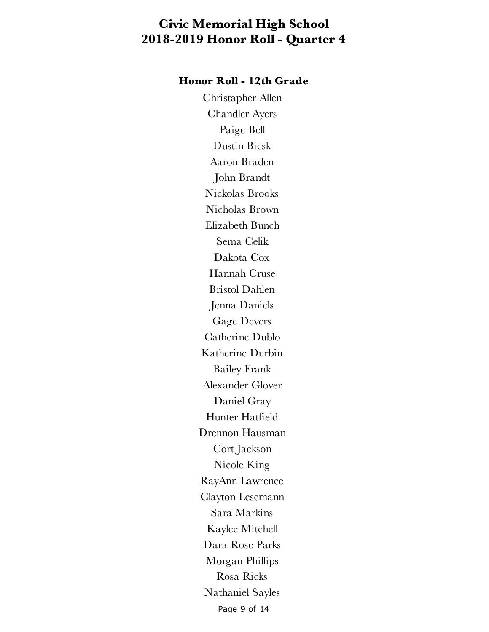#### **Honor Roll - 12th Grade**

Page 9 of 14 Christapher Allen Chandler Ayers Paige Bell Dustin Biesk Aaron Braden John Brandt Nickolas Brooks Nicholas Brown Elizabeth Bunch Sema Celik Dakota Cox Hannah Cruse Bristol Dahlen Jenna Daniels Gage Devers Catherine Dublo Katherine Durbin Bailey Frank Alexander Glover Daniel Gray Hunter Hatfield Drennon Hausman Cort Jackson Nicole King RayAnn Lawrence Clayton Lesemann Sara Markins Kaylee Mitchell Dara Rose Parks Morgan Phillips Rosa Ricks Nathaniel Sayles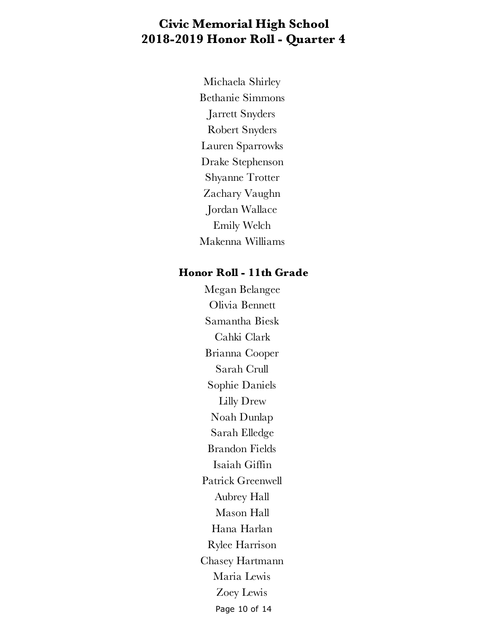Michaela Shirley Bethanie Simmons Jarrett Snyders Robert Snyders Lauren Sparrowks Drake Stephenson Shyanne Trotter Zachary Vaughn Jordan Wallace Emily Welch Makenna Williams

#### **Honor Roll - 11th Grade**

Page 10 of 14 Megan Belangee Olivia Bennett Samantha Biesk Cahki Clark Brianna Cooper Sarah Crull Sophie Daniels Lilly Drew Noah Dunlap Sarah Elledge Brandon Fields Isaiah Giffin Patrick Greenwell Aubrey Hall Mason Hall Hana Harlan Rylee Harrison Chasey Hartmann Maria Lewis Zoey Lewis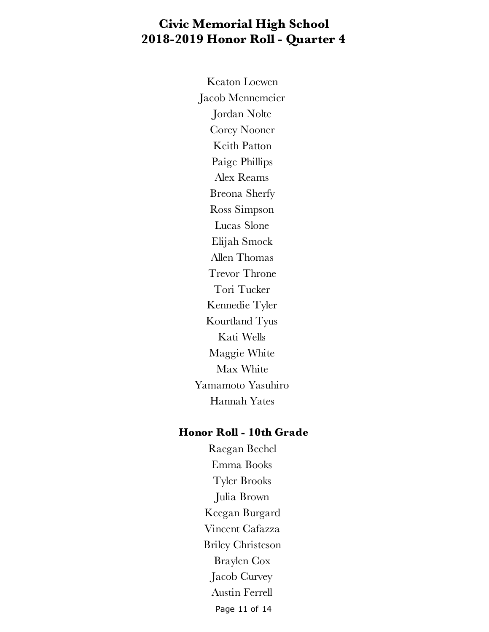Keaton Loewen Jacob Mennemeier Jordan Nolte Corey Nooner Keith Patton Paige Phillips Alex Reams Breona Sherfy Ross Simpson Lucas Slone Elijah Smock Allen Thomas Trevor Throne Tori Tucker Kennedie Tyler Kourtland Tyus Kati Wells Maggie White Max White Yamamoto Yasuhiro Hannah Yates

#### **Honor Roll - 10th Grade**

Page 11 of 14 Raegan Bechel Emma Books Tyler Brooks Julia Brown Keegan Burgard Vincent Cafazza Briley Christeson Braylen Cox Jacob Curvey Austin Ferrell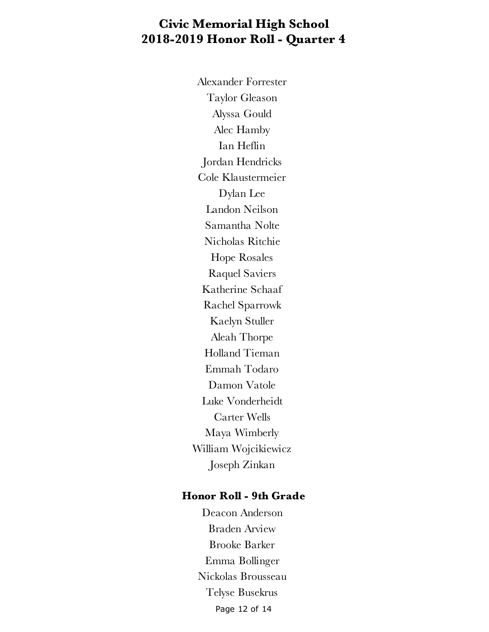Alexander Forrester Taylor Gleason Alyssa Gould Alec Hamby Ian Heflin Jordan Hendricks Cole Klaustermeier Dylan Lee Landon Neilson Samantha Nolte Nicholas Ritchie Hope Rosales Raquel Saviers Katherine Schaaf Rachel Sparrowk Kaelyn Stuller Aleah Thorpe Holland Tieman Emmah Todaro Damon Vatole Luke Vonderheidt Carter Wells Maya Wimberly William Wojcikiewicz Joseph Zinkan

#### **Honor Roll - 9th Grade**

Page 12 of 14 Deacon Anderson Braden Arview Brooke Barker Emma Bollinger Nickolas Brousseau Telyse Busekrus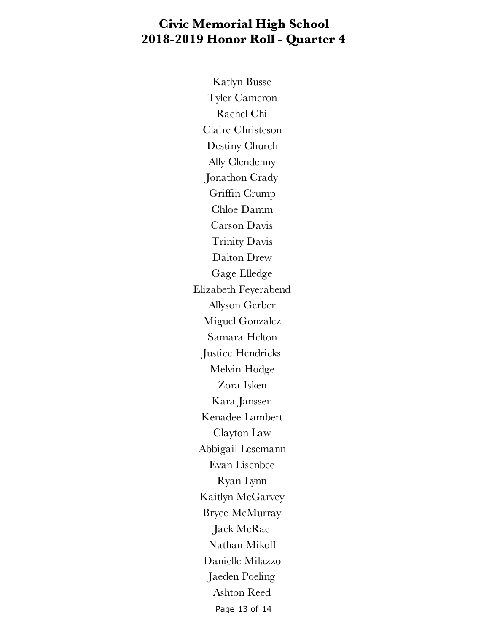Page 13 of 14 Katlyn Busse Tyler Cameron Rachel Chi Claire Christeson Destiny Church Ally Clendenny Jonathon Crady Griffin Crump Chloe Damm Carson Davis Trinity Davis Dalton Drew Gage Elledge Elizabeth Feyerabend Allyson Gerber Miguel Gonzalez Samara Helton Justice Hendricks Melvin Hodge Zora Isken Kara Janssen Kenadee Lambert Clayton Law Abbigail Lesemann Evan Lisenbee Ryan Lynn Kaitlyn McGarvey Bryce McMurray Jack McRae Nathan Mikoff Danielle Milazzo Jaeden Poeling Ashton Reed